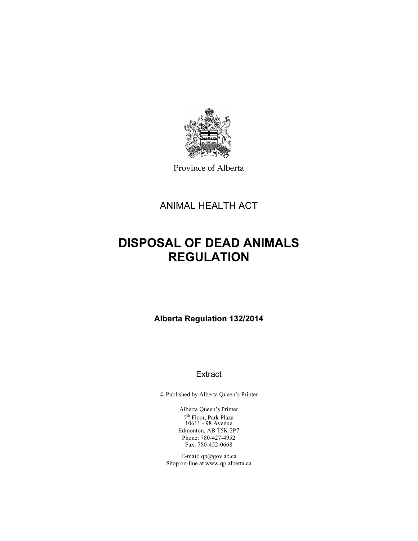

Province of Alberta

ANIMAL HEALTH ACT

# DISPOSAL OF DEAD ANIMALS REGULATION

Alberta Regulation 132/2014

# **Extract**

© Published by Alberta Queen's Printer

Alberta Queen's Printer 7 th Floor, Park Plaza 10611 - 98 Avenue Edmonton, AB T5K 2P7 Phone: 780-427-4952 Fax: 780-452-0668

E-mail: qp@gov.ab.ca Shop on-line at www.qp.alberta.ca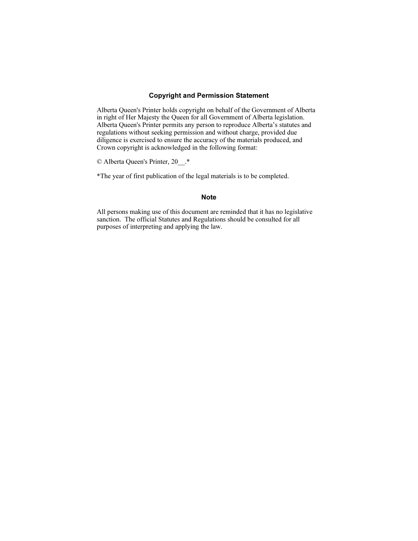# Copyright and Permission Statement

Alberta Queen's Printer holds copyright on behalf of the Government of Alberta in right of Her Majesty the Queen for all Government of Alberta legislation. Alberta Queen's Printer permits any person to reproduce Alberta's statutes and regulations without seeking permission and without charge, provided due diligence is exercised to ensure the accuracy of the materials produced, and Crown copyright is acknowledged in the following format:

© Alberta Queen's Printer, 20\_\_.\*

\*The year of first publication of the legal materials is to be completed.

## Note

All persons making use of this document are reminded that it has no legislative sanction. The official Statutes and Regulations should be consulted for all purposes of interpreting and applying the law.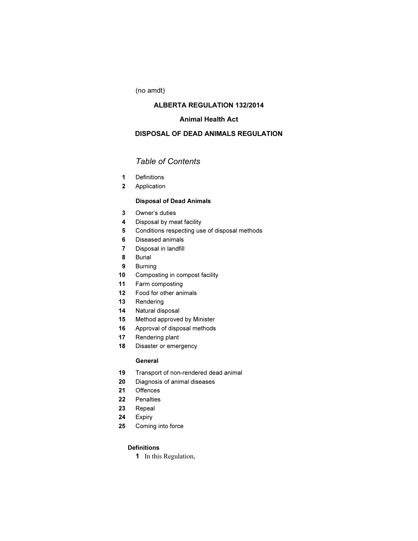(no amdt)

# ALBERTA REGULATION 132/2014

# Animal Health Act

# DISPOSAL OF DEAD ANIMALS REGULATION

# Table of Contents

- Definitions
- Application

# Disposal of Dead Animals

- Owner's duties
- Disposal by meat facility
- Conditions respecting use of disposal methods
- Diseased animals
- Disposal in landfill
- Burial
- Burning
- 10 Composting in compost facility
- Farm composting
- Food for other animals
- Rendering
- Natural disposal
- Method approved by Minister
- Approval of disposal methods
- Rendering plant
- 18 Disaster or emergency

#### General

- Transport of non-rendered dead animal
- Diagnosis of animal diseases
- Offences
- Penalties
- Repeal
- Expiry
- Coming into force

# **Definitions**

In this Regulation,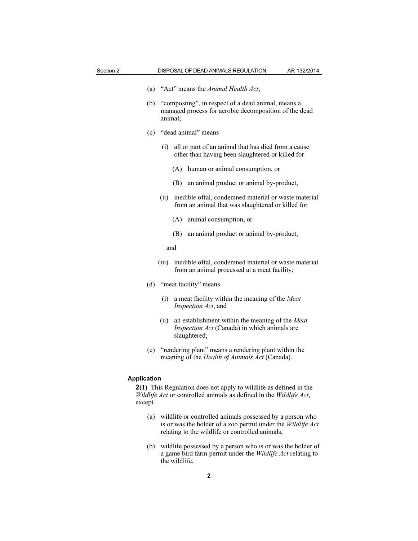- (a) "Act" means the Animal Health Act;
- (b) "composting", in respect of a dead animal, means a managed process for aerobic decomposition of the dead animal;
- (c) "dead animal" means
	- (i) all or part of an animal that has died from a cause other than having been slaughtered or killed for
		- (A) human or animal consumption, or
		- (B) an animal product or animal by-product,
	- (ii) inedible offal, condemned material or waste material from an animal that was slaughtered or killed for
		- (A) animal consumption, or
		- (B) an animal product or animal by-product,
		- and
	- (iii) inedible offal, condemned material or waste material from an animal processed at a meat facility;
- (d) "meat facility" means
	- (i) a meat facility within the meaning of the Meat Inspection Act, and
	- (ii) an establishment within the meaning of the Meat Inspection Act (Canada) in which animals are slaughtered;
- (e) "rendering plant" means a rendering plant within the meaning of the Health of Animals Act (Canada).

#### Application

2(1) This Regulation does not apply to wildlife as defined in the Wildlife Act or controlled animals as defined in the Wildlife Act, except

- (a) wildlife or controlled animals possessed by a person who is or was the holder of a zoo permit under the Wildlife Act relating to the wildlife or controlled animals,
- (b) wildlife possessed by a person who is or was the holder of a game bird farm permit under the Wildlife Act relating to the wildlife,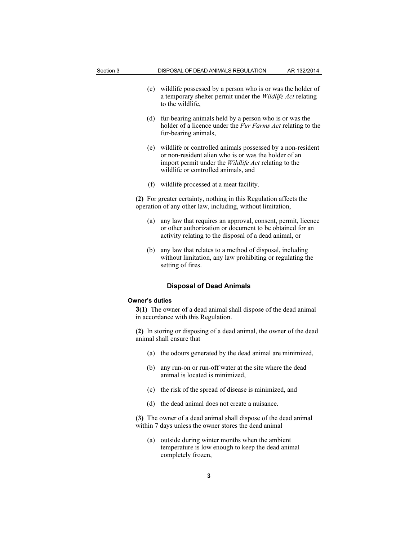- (c) wildlife possessed by a person who is or was the holder of a temporary shelter permit under the Wildlife Act relating to the wildlife,
- (d) fur-bearing animals held by a person who is or was the holder of a licence under the *Fur Farms Act* relating to the fur-bearing animals,
- (e) wildlife or controlled animals possessed by a non-resident or non-resident alien who is or was the holder of an import permit under the Wildlife Act relating to the wildlife or controlled animals, and
- (f) wildlife processed at a meat facility.

(2) For greater certainty, nothing in this Regulation affects the operation of any other law, including, without limitation,

- (a) any law that requires an approval, consent, permit, licence or other authorization or document to be obtained for an activity relating to the disposal of a dead animal, or
- (b) any law that relates to a method of disposal, including without limitation, any law prohibiting or regulating the setting of fires.

#### Disposal of Dead Animals

#### Owner's duties

3(1) The owner of a dead animal shall dispose of the dead animal in accordance with this Regulation.

(2) In storing or disposing of a dead animal, the owner of the dead animal shall ensure that

- (a) the odours generated by the dead animal are minimized,
- (b) any run-on or run-off water at the site where the dead animal is located is minimized,
- (c) the risk of the spread of disease is minimized, and
- (d) the dead animal does not create a nuisance.

(3) The owner of a dead animal shall dispose of the dead animal within 7 days unless the owner stores the dead animal

 (a) outside during winter months when the ambient temperature is low enough to keep the dead animal completely frozen,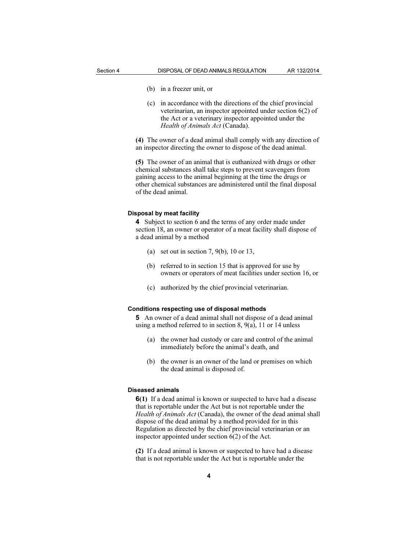- 
- (b) in a freezer unit, or
- (c) in accordance with the directions of the chief provincial veterinarian, an inspector appointed under section 6(2) of the Act or a veterinary inspector appointed under the Health of Animals Act (Canada).

(4) The owner of a dead animal shall comply with any direction of an inspector directing the owner to dispose of the dead animal.

(5) The owner of an animal that is euthanized with drugs or other chemical substances shall take steps to prevent scavengers from gaining access to the animal beginning at the time the drugs or other chemical substances are administered until the final disposal of the dead animal.

## Disposal by meat facility

4 Subject to section 6 and the terms of any order made under section 18, an owner or operator of a meat facility shall dispose of a dead animal by a method

- (a) set out in section 7, 9(b), 10 or 13,
- (b) referred to in section 15 that is approved for use by owners or operators of meat facilities under section 16, or
- (c) authorized by the chief provincial veterinarian.

#### Conditions respecting use of disposal methods

5 An owner of a dead animal shall not dispose of a dead animal using a method referred to in section 8, 9(a), 11 or 14 unless

- (a) the owner had custody or care and control of the animal immediately before the animal's death, and
- (b) the owner is an owner of the land or premises on which the dead animal is disposed of.

#### Diseased animals

6(1) If a dead animal is known or suspected to have had a disease that is reportable under the Act but is not reportable under the Health of Animals Act (Canada), the owner of the dead animal shall dispose of the dead animal by a method provided for in this Regulation as directed by the chief provincial veterinarian or an inspector appointed under section 6(2) of the Act.

(2) If a dead animal is known or suspected to have had a disease that is not reportable under the Act but is reportable under the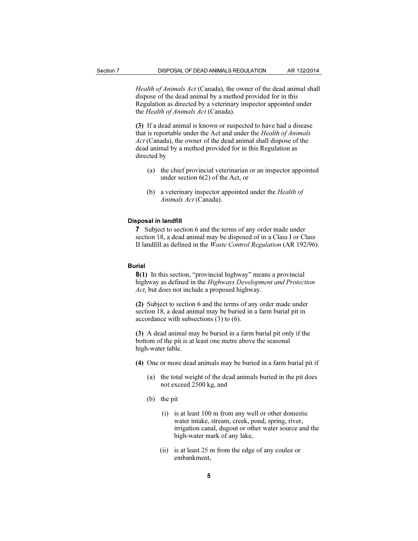Health of Animals Act (Canada), the owner of the dead animal shall dispose of the dead animal by a method provided for in this Regulation as directed by a veterinary inspector appointed under the Health of Animals Act (Canada).

(3) If a dead animal is known or suspected to have had a disease that is reportable under the Act and under the Health of Animals Act (Canada), the owner of the dead animal shall dispose of the dead animal by a method provided for in this Regulation as directed by

- (a) the chief provincial veterinarian or an inspector appointed under section 6(2) of the Act, or
- (b) a veterinary inspector appointed under the *Health of* Animals Act (Canada).

#### Disposal in landfill

7 Subject to section 6 and the terms of any order made under section 18, a dead animal may be disposed of in a Class I or Class II landfill as defined in the Waste Control Regulation (AR 192/96).

#### Burial

8(1) In this section, "provincial highway" means a provincial highway as defined in the Highways Development and Protection Act, but does not include a proposed highway.

(2) Subject to section 6 and the terms of any order made under section 18, a dead animal may be buried in a farm burial pit in accordance with subsections (3) to (6).

(3) A dead animal may be buried in a farm burial pit only if the bottom of the pit is at least one metre above the seasonal high-water table.

(4) One or more dead animals may be buried in a farm burial pit if

- (a) the total weight of the dead animals buried in the pit does not exceed 2500 kg, and
- (b) the pit
	- (i) is at least 100 m from any well or other domestic water intake, stream, creek, pond, spring, river, irrigation canal, dugout or other water source and the high-water mark of any lake,
	- (ii) is at least 25 m from the edge of any coulee or embankment,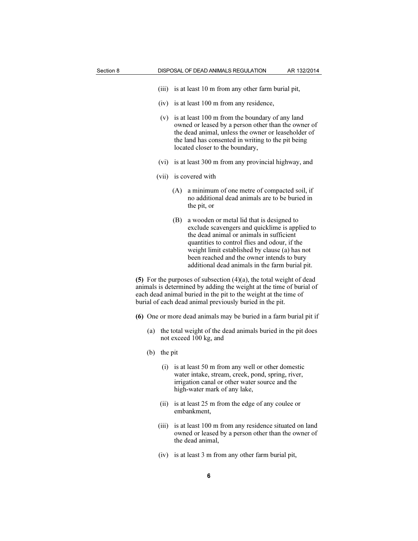- (iii) is at least 10 m from any other farm burial pit,
- (iv) is at least 100 m from any residence,
- (v) is at least 100 m from the boundary of any land owned or leased by a person other than the owner of the dead animal, unless the owner or leaseholder of the land has consented in writing to the pit being located closer to the boundary,
- (vi) is at least 300 m from any provincial highway, and
- (vii) is covered with
	- (A) a minimum of one metre of compacted soil, if no additional dead animals are to be buried in the pit, or
	- (B) a wooden or metal lid that is designed to exclude scavengers and quicklime is applied to the dead animal or animals in sufficient quantities to control flies and odour, if the weight limit established by clause (a) has not been reached and the owner intends to bury additional dead animals in the farm burial pit.

(5) For the purposes of subsection  $(4)(a)$ , the total weight of dead animals is determined by adding the weight at the time of burial of each dead animal buried in the pit to the weight at the time of burial of each dead animal previously buried in the pit.

- (6) One or more dead animals may be buried in a farm burial pit if
	- (a) the total weight of the dead animals buried in the pit does not exceed 100 kg, and
	- (b) the pit
		- (i) is at least 50 m from any well or other domestic water intake, stream, creek, pond, spring, river, irrigation canal or other water source and the high-water mark of any lake,
		- (ii) is at least 25 m from the edge of any coulee or embankment,
		- (iii) is at least 100 m from any residence situated on land owned or leased by a person other than the owner of the dead animal,
		- (iv) is at least 3 m from any other farm burial pit,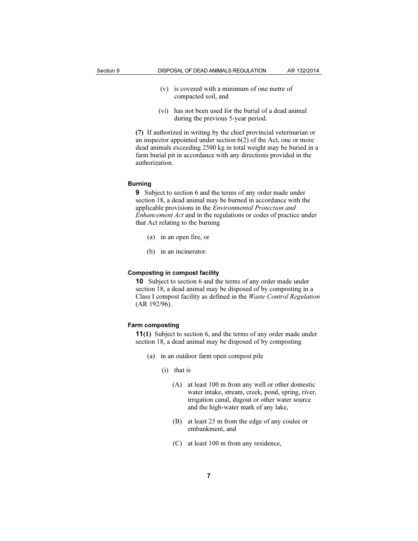- (v) is covered with a minimum of one metre of compacted soil, and
- (vi) has not been used for the burial of a dead animal during the previous 5-year period.

(7) If authorized in writing by the chief provincial veterinarian or an inspector appointed under section 6(2) of the Act, one or more dead animals exceeding 2500 kg in total weight may be buried in a farm burial pit in accordance with any directions provided in the authorization.

#### Burning

9 Subject to section 6 and the terms of any order made under section 18, a dead animal may be burned in accordance with the applicable provisions in the Environmental Protection and Enhancement Act and in the regulations or codes of practice under that Act relating to the burning

- (a) in an open fire, or
- (b) in an incinerator.

#### Composting in compost facility

10 Subject to section 6 and the terms of any order made under section 18, a dead animal may be disposed of by composting in a Class I compost facility as defined in the Waste Control Regulation (AR 192/96).

#### Farm composting

11(1) Subject to section 6, and the terms of any order made under section 18, a dead animal may be disposed of by composting

- (a) in an outdoor farm open compost pile
	- (i) that is
		- (A) at least 100 m from any well or other domestic water intake, stream, creek, pond, spring, river, irrigation canal, dugout or other water source and the high-water mark of any lake,
		- (B) at least 25 m from the edge of any coulee or embankment, and
		- (C) at least 100 m from any residence,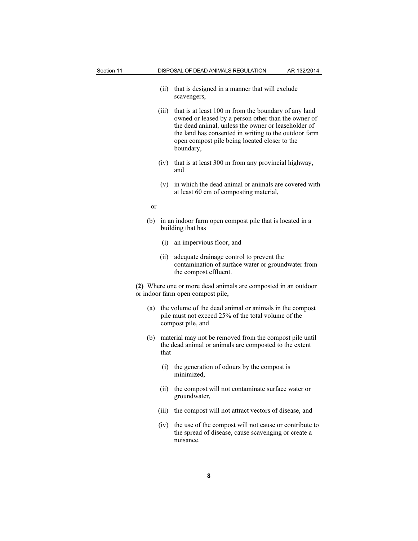| Section 11 |       | DISPOSAL OF DEAD ANIMALS REGULATION                                                                                                                                                                                                                                                       | AR 132/2014 |  |
|------------|-------|-------------------------------------------------------------------------------------------------------------------------------------------------------------------------------------------------------------------------------------------------------------------------------------------|-------------|--|
|            | (ii)  | that is designed in a manner that will exclude<br>scavengers,                                                                                                                                                                                                                             |             |  |
|            | (iii) | that is at least 100 m from the boundary of any land<br>owned or leased by a person other than the owner of<br>the dead animal, unless the owner or leaseholder of<br>the land has consented in writing to the outdoor farm<br>open compost pile being located closer to the<br>boundary, |             |  |
|            | (iv)  | that is at least 300 m from any provincial highway,<br>and                                                                                                                                                                                                                                |             |  |
|            |       | (v) in which the dead animal or animals are covered with<br>at least 60 cm of composting material,                                                                                                                                                                                        |             |  |
| or         |       |                                                                                                                                                                                                                                                                                           |             |  |
| (b)        |       | in an indoor farm open compost pile that is located in a<br>building that has                                                                                                                                                                                                             |             |  |
|            |       | (i) an impervious floor, and                                                                                                                                                                                                                                                              |             |  |
|            | (ii)  | adequate drainage control to prevent the<br>contamination of surface water or groundwater from<br>the compost effluent.                                                                                                                                                                   |             |  |
|            |       | (2) Where one or more dead animals are composted in an outdoor<br>or indoor farm open compost pile,                                                                                                                                                                                       |             |  |
| (a)        |       | the volume of the dead animal or animals in the compost<br>pile must not exceed 25% of the total volume of the<br>compost pile, and                                                                                                                                                       |             |  |
|            | that  | (b) material may not be removed from the compost pile until<br>the dead animal or animals are composted to the extent                                                                                                                                                                     |             |  |
|            |       | (i) the generation of odours by the compost is<br>mınımızed,                                                                                                                                                                                                                              |             |  |
|            | (ii)  | the compost will not contaminate surface water or<br>groundwater,                                                                                                                                                                                                                         |             |  |
|            | (iii) | the compost will not attract vectors of disease, and                                                                                                                                                                                                                                      |             |  |
|            | (iv)  | the use of the compost will not cause or contribute to<br>the spread of disease, cause scavenging or create a<br>nuisance.                                                                                                                                                                |             |  |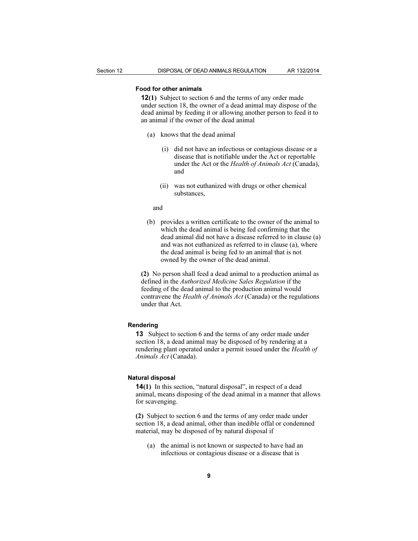## Food for other animals

12(1) Subject to section 6 and the terms of any order made under section 18, the owner of a dead animal may dispose of the dead animal by feeding it or allowing another person to feed it to an animal if the owner of the dead animal

- (a) knows that the dead animal
	- (i) did not have an infectious or contagious disease or a disease that is notifiable under the Act or reportable under the Act or the Health of Animals Act (Canada), and
	- (ii) was not euthanized with drugs or other chemical substances,

and

 (b) provides a written certificate to the owner of the animal to which the dead animal is being fed confirming that the dead animal did not have a disease referred to in clause (a) and was not euthanized as referred to in clause (a), where the dead animal is being fed to an animal that is not owned by the owner of the dead animal.

(2) No person shall feed a dead animal to a production animal as defined in the Authorized Medicine Sales Regulation if the feeding of the dead animal to the production animal would contravene the Health of Animals Act (Canada) or the regulations under that Act.

#### Rendering

13 Subject to section 6 and the terms of any order made under section 18, a dead animal may be disposed of by rendering at a rendering plant operated under a permit issued under the Health of Animals Act (Canada).

#### Natural disposal

14(1) In this section, "natural disposal", in respect of a dead animal, means disposing of the dead animal in a manner that allows for scavenging.

(2) Subject to section 6 and the terms of any order made under section 18, a dead animal, other than inedible offal or condemned material, may be disposed of by natural disposal if

 (a) the animal is not known or suspected to have had an infectious or contagious disease or a disease that is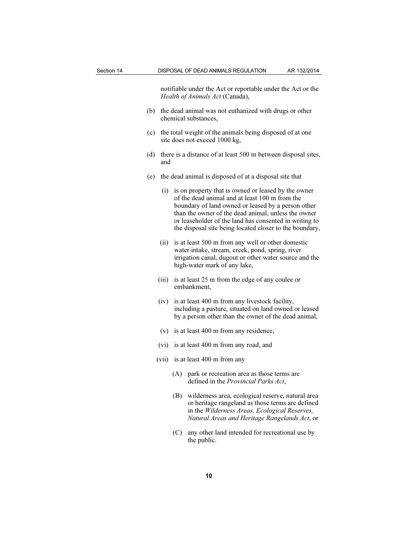notifiable under the Act or reportable under the Act or the Health of Animals Act (Canada),

- (b) the dead animal was not euthanized with drugs or other chemical substances,
- (c) the total weight of the animals being disposed of at one site does not exceed 1000 kg,
- (d) there is a distance of at least 500 m between disposal sites, and
- (e) the dead animal is disposed of at a disposal site that
	- (i) is on property that is owned or leased by the owner of the dead animal and at least 100 m from the boundary of land owned or leased by a person other than the owner of the dead animal, unless the owner or leaseholder of the land has consented in writing to the disposal site being located closer to the boundary,
	- (ii) is at least 500 m from any well or other domestic water intake, stream, creek, pond, spring, river irrigation canal, dugout or other water source and the high-water mark of any lake,
	- (iii) is at least 25 m from the edge of any coulee or embankment,
	- (iv) is at least 400 m from any livestock facility, including a pasture, situated on land owned or leased by a person other than the owner of the dead animal,
	- (v) is at least 400 m from any residence,
	- (vi) is at least 400 m from any road, and
	- (vii) is at least 400 m from any
		- (A) park or recreation area as those terms are defined in the Provincial Parks Act,
		- (B) wilderness area, ecological reserve, natural area or heritage rangeland as those terms are defined in the Wilderness Areas, Ecological Reserves, Natural Areas and Heritage Rangelands Act, or
		- (C) any other land intended for recreational use by the public.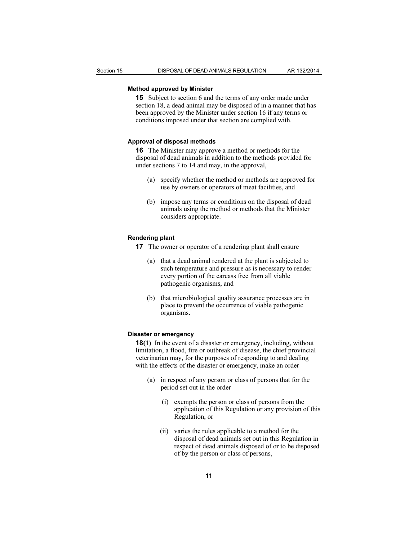## Method approved by Minister

15 Subject to section 6 and the terms of any order made under section 18, a dead animal may be disposed of in a manner that has been approved by the Minister under section 16 if any terms or conditions imposed under that section are complied with.

#### Approval of disposal methods

16 The Minister may approve a method or methods for the disposal of dead animals in addition to the methods provided for under sections 7 to 14 and may, in the approval,

- (a) specify whether the method or methods are approved for use by owners or operators of meat facilities, and
- (b) impose any terms or conditions on the disposal of dead animals using the method or methods that the Minister considers appropriate.

#### Rendering plant

- 17 The owner or operator of a rendering plant shall ensure
	- (a) that a dead animal rendered at the plant is subjected to such temperature and pressure as is necessary to render every portion of the carcass free from all viable pathogenic organisms, and
	- (b) that microbiological quality assurance processes are in place to prevent the occurrence of viable pathogenic organisms.

#### Disaster or emergency

18(1) In the event of a disaster or emergency, including, without limitation, a flood, fire or outbreak of disease, the chief provincial veterinarian may, for the purposes of responding to and dealing with the effects of the disaster or emergency, make an order

- (a) in respect of any person or class of persons that for the period set out in the order
	- (i) exempts the person or class of persons from the application of this Regulation or any provision of this Regulation, or
	- (ii) varies the rules applicable to a method for the disposal of dead animals set out in this Regulation in respect of dead animals disposed of or to be disposed of by the person or class of persons,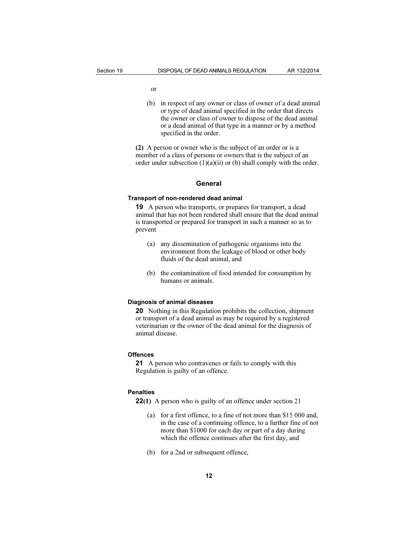- or
- (b) in respect of any owner or class of owner of a dead animal or type of dead animal specified in the order that directs the owner or class of owner to dispose of the dead animal or a dead animal of that type in a manner or by a method specified in the order.

(2) A person or owner who is the subject of an order or is a member of a class of persons or owners that is the subject of an order under subsection  $(1)(a)(ii)$  or (b) shall comply with the order.

#### General

#### Transport of non-rendered dead animal

19 A person who transports, or prepares for transport, a dead animal that has not been rendered shall ensure that the dead animal is transported or prepared for transport in such a manner so as to prevent

- (a) any dissemination of pathogenic organisms into the environment from the leakage of blood or other body fluids of the dead animal, and
- (b) the contamination of food intended for consumption by humans or animals.

#### Diagnosis of animal diseases

20 Nothing in this Regulation prohibits the collection, shipment or transport of a dead animal as may be required by a registered veterinarian or the owner of the dead animal for the diagnosis of animal disease.

#### **Offences**

21 A person who contravenes or fails to comply with this Regulation is guilty of an offence.

#### **Penalties**

22(1) A person who is guilty of an offence under section 21

- (a) for a first offence, to a fine of not more than \$15 000 and, in the case of a continuing offence, to a further fine of not more than \$1000 for each day or part of a day during which the offence continues after the first day, and
- (b) for a 2nd or subsequent offence,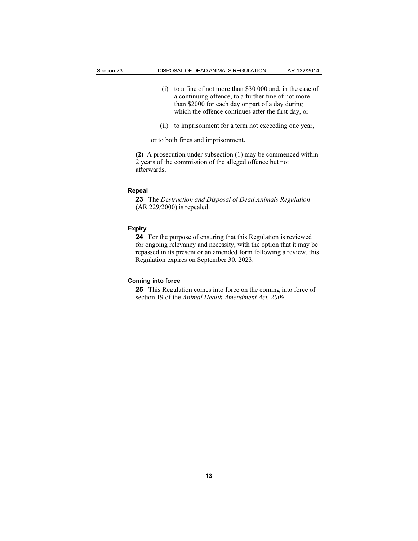- (i) to a fine of not more than \$30 000 and, in the case of a continuing offence, to a further fine of not more than \$2000 for each day or part of a day during which the offence continues after the first day, or
- (ii) to imprisonment for a term not exceeding one year,

or to both fines and imprisonment.

(2) A prosecution under subsection (1) may be commenced within 2 years of the commission of the alleged offence but not afterwards.

#### Repeal

23 The Destruction and Disposal of Dead Animals Regulation (AR 229/2000) is repealed.

#### Expiry

24 For the purpose of ensuring that this Regulation is reviewed for ongoing relevancy and necessity, with the option that it may be repassed in its present or an amended form following a review, this Regulation expires on September 30, 2023.

## Coming into force

25 This Regulation comes into force on the coming into force of section 19 of the Animal Health Amendment Act, 2009.